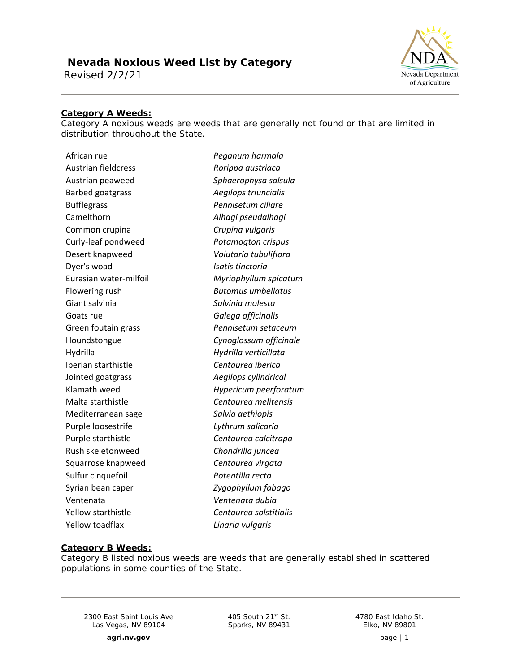## **Nevada Noxious Weed List by Category** Revised 2/2/21



## **Category A Weeds:**

*Category A noxious weeds are weeds that are generally not found or that are limited in distribution throughout the State.*

| African rue                | Peganum harmala           |
|----------------------------|---------------------------|
| <b>Austrian fieldcress</b> | Rorippa austriaca         |
| Austrian peaweed           | Sphaerophysa salsula      |
| <b>Barbed goatgrass</b>    | Aegilops triuncialis      |
| <b>Bufflegrass</b>         | Pennisetum ciliare        |
| Camelthorn                 | Alhagi pseudalhagi        |
| Common crupina             | Crupina vulgaris          |
| Curly-leaf pondweed        | Potamogton crispus        |
| Desert knapweed            | Volutaria tubuliflora     |
| Dyer's woad                | Isatis tinctoria          |
| Eurasian water-milfoil     | Myriophyllum spicatum     |
| Flowering rush             | <b>Butomus umbellatus</b> |
| Giant salvinia             | Salvinia molesta          |
| Goats rue                  | Galega officinalis        |
| Green foutain grass        | Pennisetum setaceum       |
| Houndstongue               | Cynoglossum officinale    |
| Hydrilla                   | Hydrilla verticillata     |
| Iberian starthistle        | Centaurea iberica         |
| Jointed goatgrass          | Aegilops cylindrical      |
| Klamath weed               | Hypericum peerforatum     |
| Malta starthistle          | Centaurea melitensis      |
| Mediterranean sage         | Salvia aethiopis          |
| Purple loosestrife         | Lythrum salicaria         |
| Purple starthistle         | Centaurea calcitrapa      |
| Rush skeletonweed          | Chondrilla juncea         |
| Squarrose knapweed         | Centaurea virgata         |
| Sulfur cinquefoil          | Potentilla recta          |
| Syrian bean caper          | Zygophyllum fabago        |
| Ventenata                  | Ventenata dubia           |
| <b>Yellow starthistle</b>  | Centaurea solstitialis    |
| Yellow toadflax            | Linaria vulgaris          |

## **Category B Weeds:**

*Category B listed noxious weeds are weeds that are generally established in scattered populations in some counties of the State.*

2300 East Saint Louis Ave Las Vegas, NV 89104

**agri.nv.gov** page | 1

405 South 21st St. Sparks, NV 89431

4780 East Idaho St. Elko, NV 89801